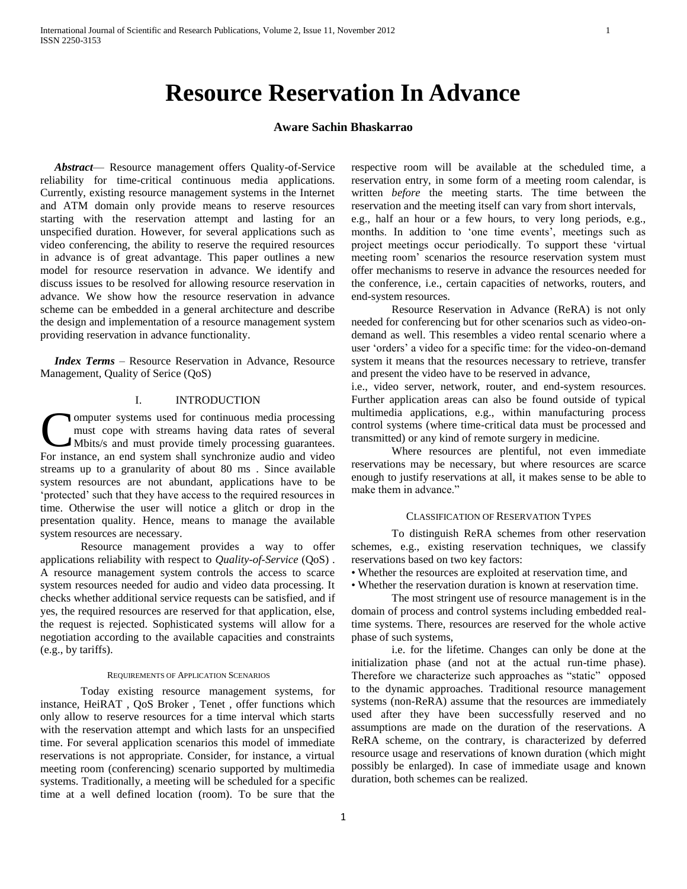# **Resource Reservation In Advance**

## **Aware Sachin Bhaskarrao**

 *Abstract*— Resource management offers Quality-of-Service reliability for time-critical continuous media applications. Currently, existing resource management systems in the Internet and ATM domain only provide means to reserve resources starting with the reservation attempt and lasting for an unspecified duration. However, for several applications such as video conferencing, the ability to reserve the required resources in advance is of great advantage. This paper outlines a new model for resource reservation in advance. We identify and discuss issues to be resolved for allowing resource reservation in advance. We show how the resource reservation in advance scheme can be embedded in a general architecture and describe the design and implementation of a resource management system providing reservation in advance functionality.

 *Index Terms* – Resource Reservation in Advance, Resource Management, Quality of Serice (QoS)

# I. INTRODUCTION

omputer systems used for continuous media processing must cope with streams having data rates of several Mbits/s and must provide timely processing guarantees. **COMPUT STANCE IN EXECUTE:** The must cope with streams having data rates of several Mbits/s and must provide timely processing guarantees.<br>For instance, an end system shall synchronize audio and video streams up to a granularity of about 80 ms . Since available system resources are not abundant, applications have to be ‗protected' such that they have access to the required resources in time. Otherwise the user will notice a glitch or drop in the presentation quality. Hence, means to manage the available system resources are necessary.

Resource management provides a way to offer applications reliability with respect to *Quality-of-Service* (QoS) . A resource management system controls the access to scarce system resources needed for audio and video data processing. It checks whether additional service requests can be satisfied, and if yes, the required resources are reserved for that application, else, the request is rejected. Sophisticated systems will allow for a negotiation according to the available capacities and constraints (e.g., by tariffs).

### REQUIREMENTS OF APPLICATION SCENARIOS

Today existing resource management systems, for instance, HeiRAT , QoS Broker , Tenet , offer functions which only allow to reserve resources for a time interval which starts with the reservation attempt and which lasts for an unspecified time. For several application scenarios this model of immediate reservations is not appropriate. Consider, for instance, a virtual meeting room (conferencing) scenario supported by multimedia systems. Traditionally, a meeting will be scheduled for a specific time at a well defined location (room). To be sure that the

respective room will be available at the scheduled time, a reservation entry, in some form of a meeting room calendar, is written *before* the meeting starts. The time between the reservation and the meeting itself can vary from short intervals, e.g., half an hour or a few hours, to very long periods, e.g., months. In addition to 'one time events', meetings such as project meetings occur periodically. To support these 'virtual meeting room' scenarios the resource reservation system must offer mechanisms to reserve in advance the resources needed for the conference, i.e., certain capacities of networks, routers, and end-system resources.

Resource Reservation in Advance (ReRA) is not only needed for conferencing but for other scenarios such as video-ondemand as well. This resembles a video rental scenario where a user 'orders' a video for a specific time: for the video-on-demand system it means that the resources necessary to retrieve, transfer and present the video have to be reserved in advance,

i.e., video server, network, router, and end-system resources. Further application areas can also be found outside of typical multimedia applications, e.g., within manufacturing process control systems (where time-critical data must be processed and transmitted) or any kind of remote surgery in medicine.

Where resources are plentiful, not even immediate reservations may be necessary, but where resources are scarce enough to justify reservations at all, it makes sense to be able to make them in advance."

## CLASSIFICATION OF RESERVATION TYPES

To distinguish ReRA schemes from other reservation schemes, e.g., existing reservation techniques, we classify reservations based on two key factors:

• Whether the resources are exploited at reservation time, and

• Whether the reservation duration is known at reservation time.

The most stringent use of resource management is in the domain of process and control systems including embedded realtime systems. There, resources are reserved for the whole active phase of such systems,

i.e. for the lifetime. Changes can only be done at the initialization phase (and not at the actual run-time phase). Therefore we characterize such approaches as "static" opposed to the dynamic approaches. Traditional resource management systems (non-ReRA) assume that the resources are immediately used after they have been successfully reserved and no assumptions are made on the duration of the reservations. A ReRA scheme, on the contrary, is characterized by deferred resource usage and reservations of known duration (which might possibly be enlarged). In case of immediate usage and known duration, both schemes can be realized.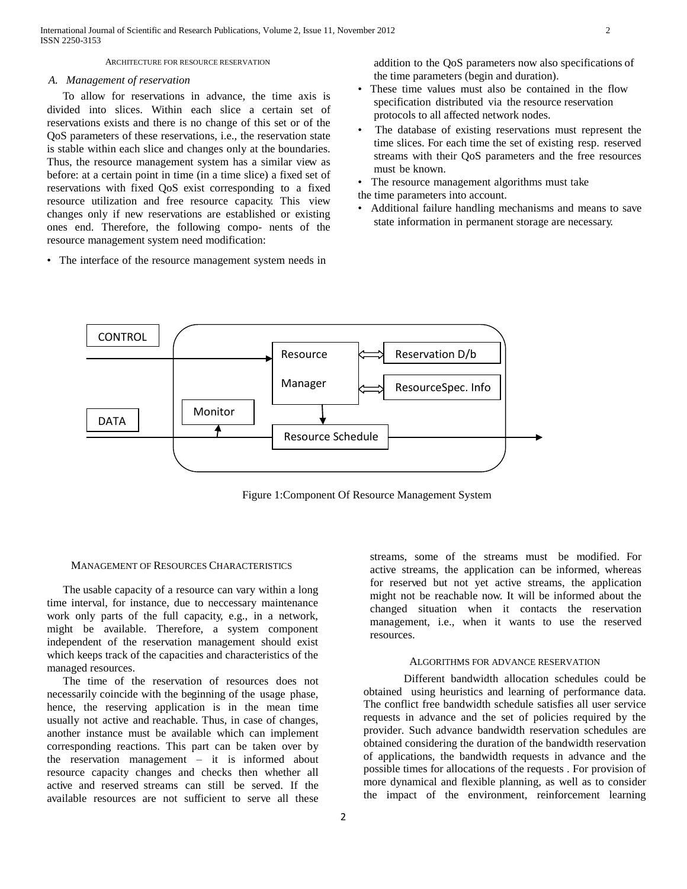### ARCHITECTURE FOR RESOURCE RESERVATION

## *A. Management of reservation*

To allow for reservations in advance, the time axis is divided into slices. Within each slice a certain set of reservations exists and there is no change of this set or of the QoS parameters of these reservations, i.e., the reservation state is stable within each slice and changes only at the boundaries. Thus, the resource management system has a similar view as before: at a certain point in time (in a time slice) a fixed set of reservations with fixed QoS exist corresponding to a fixed resource utilization and free resource capacity. This view changes only if new reservations are established or existing ones end. Therefore, the following compo- nents of the resource management system need modification:

• The interface of the resource management system needs in

addition to the QoS parameters now also specifications of the time parameters (begin and duration).

- These time values must also be contained in the flow specification distributed via the resource reservation protocols to all affected network nodes.
- The database of existing reservations must represent the time slices. For each time the set of existing resp. reserved streams with their QoS parameters and the free resources must be known.
- The resource management algorithms must take
- the time parameters into account.
- Additional failure handling mechanisms and means to save state information in permanent storage are necessary.



Figure 1:Component Of Resource Management System

## MANAGEMENT OF RESOURCES CHARACTERISTICS

The usable capacity of a resource can vary within a long time interval, for instance, due to neccessary maintenance work only parts of the full capacity, e.g., in a network, might be available. Therefore, a system component independent of the reservation management should exist which keeps track of the capacities and characteristics of the managed resources.

The time of the reservation of resources does not necessarily coincide with the beginning of the usage phase, hence, the reserving application is in the mean time usually not active and reachable. Thus, in case of changes, another instance must be available which can implement corresponding reactions. This part can be taken over by the reservation management – it is informed about resource capacity changes and checks then whether all active and reserved streams can still be served. If the available resources are not sufficient to serve all these

streams, some of the streams must be modified. For active streams, the application can be informed, whereas for reserved but not yet active streams, the application might not be reachable now. It will be informed about the changed situation when it contacts the reservation management, i.e., when it wants to use the reserved resources.

# ALGORITHMS FOR ADVANCE RESERVATION

Different bandwidth allocation schedules could be obtained using heuristics and learning of performance data. The conflict free bandwidth schedule satisfies all user service requests in advance and the set of policies required by the provider. Such advance bandwidth reservation schedules are obtained considering the duration of the bandwidth reservation of applications, the bandwidth requests in advance and the possible times for allocations of the requests . For provision of more dynamical and flexible planning, as well as to consider the impact of the environment, reinforcement learning